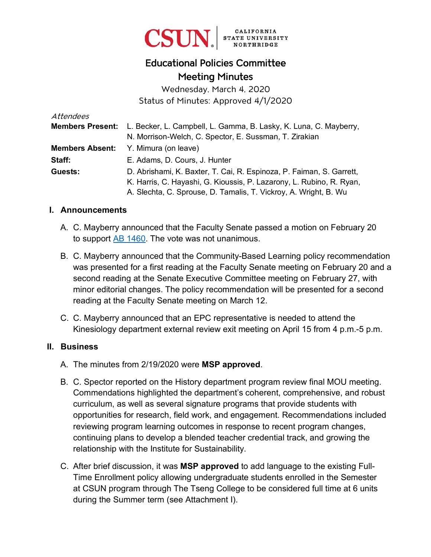

# Educational Policies Committee Meeting Minutes

Wednesday, March 4, 2020 Status of Minutes: Approved 4/1/2020

| Attendees              |                                                                                           |
|------------------------|-------------------------------------------------------------------------------------------|
|                        | <b>Members Present:</b> L. Becker, L. Campbell, L. Gamma, B. Lasky, K. Luna, C. Mayberry, |
|                        | N. Morrison-Welch, C. Spector, E. Sussman, T. Zirakian                                    |
| <b>Members Absent:</b> | Y. Mimura (on leave)                                                                      |
| Staff:                 | E. Adams, D. Cours, J. Hunter                                                             |
| Guests:                | D. Abrishami, K. Baxter, T. Cai, R. Espinoza, P. Faiman, S. Garrett,                      |
|                        | K. Harris, C. Hayashi, G. Kioussis, P. Lazarony, L. Rubino, R. Ryan,                      |
|                        | A. Slechta, C. Sprouse, D. Tamalis, T. Vickroy, A. Wright, B. Wu                          |

#### **I. Announcements**

- A. C. Mayberry announced that the Faculty Senate passed a motion on February 20 to support **AB 1460**. The vote was not unanimous.
- B. C. Mayberry announced that the Community-Based Learning policy recommendation was presented for a first reading at the Faculty Senate meeting on February 20 and a second reading at the Senate Executive Committee meeting on February 27, with minor editorial changes. The policy recommendation will be presented for a second reading at the Faculty Senate meeting on March 12.
- C. C. Mayberry announced that an EPC representative is needed to attend the Kinesiology department external review exit meeting on April 15 from 4 p.m.-5 p.m.

#### **II. Business**

- A. The minutes from 2/19/2020 were **MSP approved**.
- B. C. Spector reported on the History department program review final MOU meeting. Commendations highlighted the department's coherent, comprehensive, and robust curriculum, as well as several signature programs that provide students with opportunities for research, field work, and engagement. Recommendations included reviewing program learning outcomes in response to recent program changes, continuing plans to develop a blended teacher credential track, and growing the relationship with the Institute for Sustainability.
- C. After brief discussion, it was **MSP approved** to add language to the existing Full-Time Enrollment policy allowing undergraduate students enrolled in the Semester at CSUN program through The Tseng College to be considered full time at 6 units during the Summer term (see Attachment I).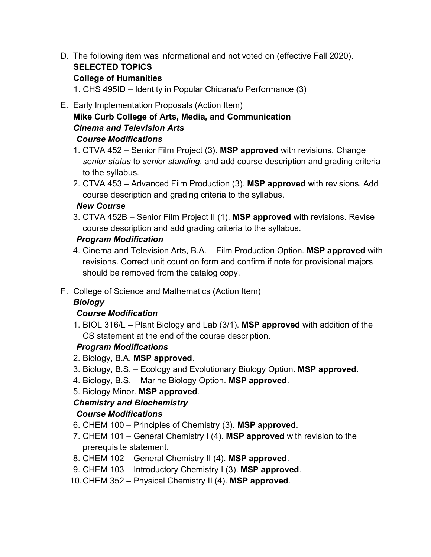D. The following item was informational and not voted on (effective Fall 2020). **SELECTED TOPICS**

### **College of Humanities**

1. CHS 495ID – Identity in Popular Chicana/o Performance (3)

#### E. Early Implementation Proposals (Action Item)

### **Mike Curb College of Arts, Media, and Communication** *Cinema and Television Arts Course Modifications*

- 1. CTVA 452 Senior Film Project (3). **MSP approved** with revisions. Change *senior status* to *senior standing*, and add course description and grading criteria to the syllabus.
- 2. CTVA 453 Advanced Film Production (3). **MSP approved** with revisions. Add course description and grading criteria to the syllabus.

#### *New Course*

3. CTVA 452B – Senior Film Project II (1). **MSP approved** with revisions. Revise course description and add grading criteria to the syllabus.

### *Program Modification*

- 4. Cinema and Television Arts, B.A. Film Production Option. **MSP approved** with revisions. Correct unit count on form and confirm if note for provisional majors should be removed from the catalog copy.
- F. College of Science and Mathematics (Action Item)

## *Biology*

### *Course Modification*

1. BIOL 316/L – Plant Biology and Lab (3/1). **MSP approved** with addition of the CS statement at the end of the course description.

### *Program Modifications*

- 2. Biology, B.A. **MSP approved**.
- 3. Biology, B.S. Ecology and Evolutionary Biology Option. **MSP approved**.
- 4. Biology, B.S. Marine Biology Option. **MSP approved**.
- 5. Biology Minor. **MSP approved**.

# *Chemistry and Biochemistry*

## *Course Modifications*

- 6. CHEM 100 Principles of Chemistry (3). **MSP approved**.
- 7. CHEM 101 General Chemistry I (4). **MSP approved** with revision to the prerequisite statement.
- 8. CHEM 102 General Chemistry II (4). **MSP approved**.
- 9. CHEM 103 Introductory Chemistry I (3). **MSP approved**.
- 10.CHEM 352 Physical Chemistry II (4). **MSP approved**.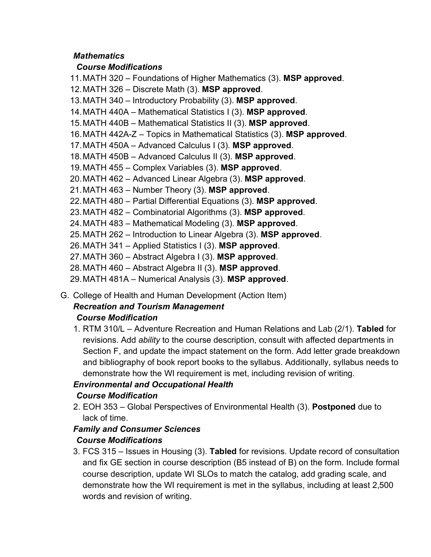### *Mathematics*

### *Course Modifications*

- 11.MATH 320 Foundations of Higher Mathematics (3). **MSP approved**.
- 12.MATH 326 Discrete Math (3). **MSP approved**.
- 13.MATH 340 Introductory Probability (3). **MSP approved**.
- 14.MATH 440A Mathematical Statistics I (3). **MSP approved**.
- 15.MATH 440B Mathematical Statistics II (3). **MSP approved**.
- 16.MATH 442A-Z Topics in Mathematical Statistics (3). **MSP approved**.
- 17.MATH 450A Advanced Calculus I (3). **MSP approved**.
- 18.MATH 450B Advanced Calculus II (3). **MSP approved**.
- 19.MATH 455 Complex Variables (3). **MSP approved**.
- 20.MATH 462 Advanced Linear Algebra (3). **MSP approved**.
- 21.MATH 463 Number Theory (3). **MSP approved**.
- 22.MATH 480 Partial Differential Equations (3). **MSP approved**.
- 23.MATH 482 Combinatorial Algorithms (3). **MSP approved**.
- 24.MATH 483 Mathematical Modeling (3). **MSP approved**.
- 25.MATH 262 Introduction to Linear Algebra (3). **MSP approved**.
- 26.MATH 341 Applied Statistics I (3). **MSP approved**.
- 27.MATH 360 Abstract Algebra I (3). **MSP approved**.
- 28.MATH 460 Abstract Algebra II (3). **MSP approved**.
- 29.MATH 481A Numerical Analysis (3). **MSP approved**.
- G. College of Health and Human Development (Action Item)

# *Recreation and Tourism Management Course Modification*

1. RTM 310/L – Adventure Recreation and Human Relations and Lab (2/1). **Tabled** for revisions. Add *ability* to the course description, consult with affected departments in Section F, and update the impact statement on the form. Add letter grade breakdown and bibliography of book report books to the syllabus. Additionally, syllabus needs to demonstrate how the WI requirement is met, including revision of writing.

## *Environmental and Occupational Health*

## *Course Modification*

2. EOH 353 – Global Perspectives of Environmental Health (3). **Postponed** due to lack of time.

# *Family and Consumer Sciences*

## *Course Modifications*

3. FCS 315 – Issues in Housing (3). **Tabled** for revisions. Update record of consultation and fix GE section in course description (B5 instead of B) on the form. Include formal course description, update WI SLOs to match the catalog, add grading scale, and demonstrate how the WI requirement is met in the syllabus, including at least 2,500 words and revision of writing.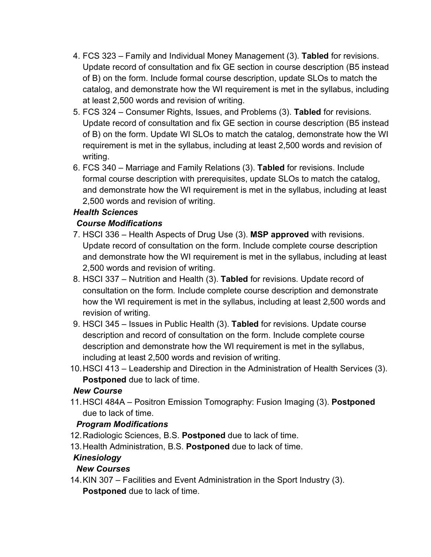- 4. FCS 323 Family and Individual Money Management (3). **Tabled** for revisions. Update record of consultation and fix GE section in course description (B5 instead of B) on the form. Include formal course description, update SLOs to match the catalog, and demonstrate how the WI requirement is met in the syllabus, including at least 2,500 words and revision of writing.
- 5. FCS 324 Consumer Rights, Issues, and Problems (3). **Tabled** for revisions. Update record of consultation and fix GE section in course description (B5 instead of B) on the form. Update WI SLOs to match the catalog, demonstrate how the WI requirement is met in the syllabus, including at least 2,500 words and revision of writing.
- 6. FCS 340 Marriage and Family Relations (3). **Tabled** for revisions. Include formal course description with prerequisites, update SLOs to match the catalog, and demonstrate how the WI requirement is met in the syllabus, including at least 2,500 words and revision of writing.

## *Health Sciences*

## *Course Modifications*

- 7. HSCI 336 Health Aspects of Drug Use (3). **MSP approved** with revisions. Update record of consultation on the form. Include complete course description and demonstrate how the WI requirement is met in the syllabus, including at least 2,500 words and revision of writing.
- 8. HSCI 337 Nutrition and Health (3). **Tabled** for revisions. Update record of consultation on the form. Include complete course description and demonstrate how the WI requirement is met in the syllabus, including at least 2,500 words and revision of writing.
- 9. HSCI 345 Issues in Public Health (3). **Tabled** for revisions. Update course description and record of consultation on the form. Include complete course description and demonstrate how the WI requirement is met in the syllabus, including at least 2,500 words and revision of writing.
- 10.HSCI 413 Leadership and Direction in the Administration of Health Services (3). **Postponed** due to lack of time.

### *New Course*

11.HSCI 484A – Positron Emission Tomography: Fusion Imaging (3). **Postponed** due to lack of time.

### *Program Modifications*

- 12. Radiologic Sciences, B.S. **Postponed** due to lack of time.
- 13. Health Administration, B.S. **Postponed** due to lack of time.

### *Kinesiology*

### *New Courses*

14.KIN 307 – Facilities and Event Administration in the Sport Industry (3). **Postponed** due to lack of time.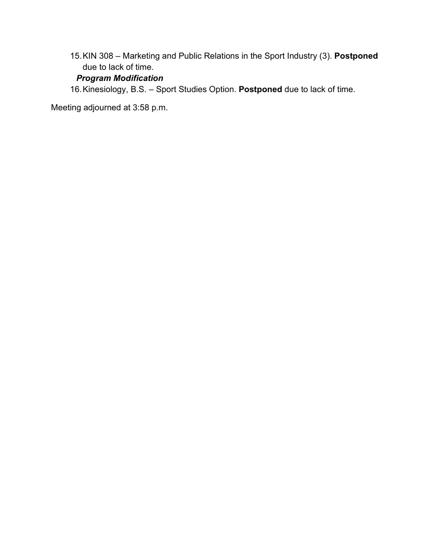15.KIN 308 – Marketing and Public Relations in the Sport Industry (3). **Postponed** due to lack of time.

## *Program Modification*

16.Kinesiology, B.S. – Sport Studies Option. **Postponed** due to lack of time.

Meeting adjourned at 3:58 p.m.